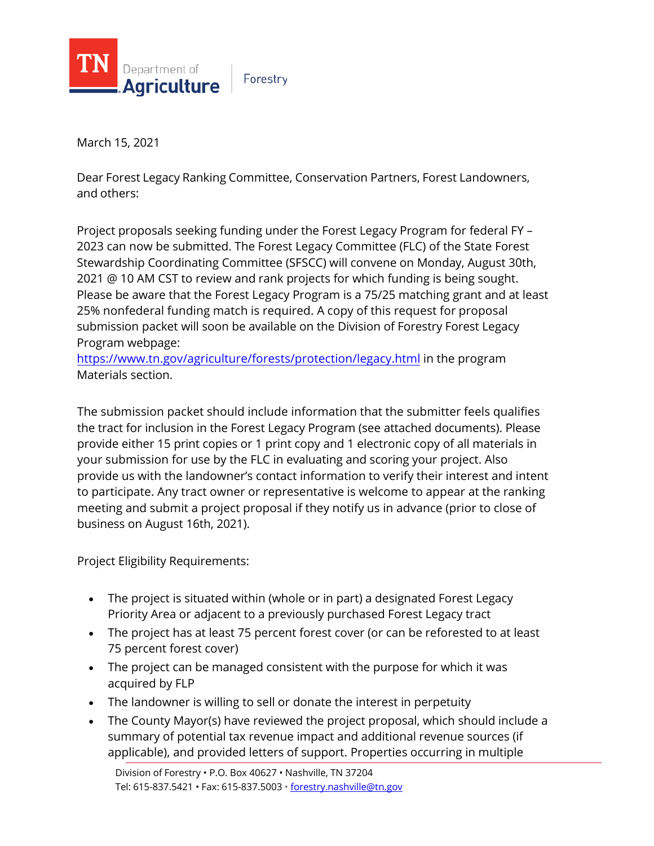

Forestry

March 15, 2021

Dear Forest Legacy Ranking Committee, Conservation Partners, Forest Landowners, and others:

Project proposals seeking funding under the Forest Legacy Program for federal FY – 2023 can now be submitted. The Forest Legacy Committee (FLC) of the State Forest Stewardship Coordinating Committee (SFSCC) will convene on Monday, August 30th, 2021 @ 10 AM CST to review and rank projects for which funding is being sought. Please be aware that the Forest Legacy Program is a 75/25 matching grant and at least 25% nonfederal funding match is required. A copy of this request for proposal submission packet will soon be available on the Division of Forestry Forest Legacy Program webpage:

<https://www.tn.gov/agriculture/forests/protection/legacy.html> in the program Materials section.

The submission packet should include information that the submitter feels qualifies the tract for inclusion in the Forest Legacy Program (see attached documents). Please provide either 15 print copies or 1 print copy and 1 electronic copy of all materials in your submission for use by the FLC in evaluating and scoring your project. Also provide us with the landowner's contact information to verify their interest and intent to participate. Any tract owner or representative is welcome to appear at the ranking meeting and submit a project proposal if they notify us in advance (prior to close of business on August 16th, 2021).

Project Eligibility Requirements:

- The project is situated within (whole or in part) a designated Forest Legacy Priority Area or adjacent to a previously purchased Forest Legacy tract
- The project has at least 75 percent forest cover (or can be reforested to at least 75 percent forest cover)
- The project can be managed consistent with the purpose for which it was acquired by FLP
- The landowner is willing to sell or donate the interest in perpetuity
- The County Mayor(s) have reviewed the project proposal, which should include a summary of potential tax revenue impact and additional revenue sources (if applicable), and provided letters of support. Properties occurring in multiple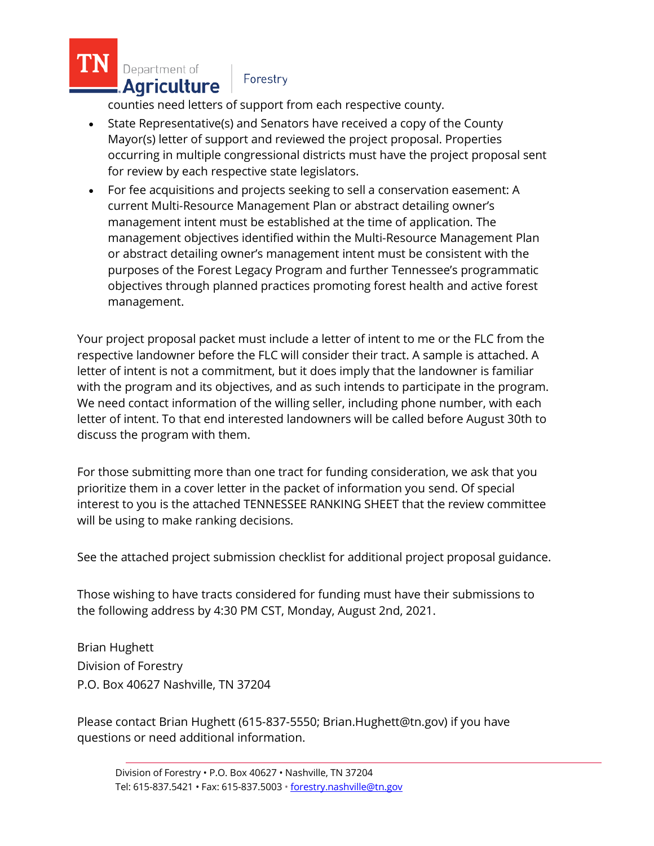Department of . Agriculture

## Forestry

counties need letters of support from each respective county.

- State Representative(s) and Senators have received a copy of the County Mayor(s) letter of support and reviewed the project proposal. Properties occurring in multiple congressional districts must have the project proposal sent for review by each respective state legislators.
- For fee acquisitions and projects seeking to sell a conservation easement: A current Multi-Resource Management Plan or abstract detailing owner's management intent must be established at the time of application. The management objectives identified within the Multi-Resource Management Plan or abstract detailing owner's management intent must be consistent with the purposes of the Forest Legacy Program and further Tennessee's programmatic objectives through planned practices promoting forest health and active forest management.

Your project proposal packet must include a letter of intent to me or the FLC from the respective landowner before the FLC will consider their tract. A sample is attached. A letter of intent is not a commitment, but it does imply that the landowner is familiar with the program and its objectives, and as such intends to participate in the program. We need contact information of the willing seller, including phone number, with each letter of intent. To that end interested landowners will be called before August 30th to discuss the program with them.

For those submitting more than one tract for funding consideration, we ask that you prioritize them in a cover letter in the packet of information you send. Of special interest to you is the attached TENNESSEE RANKING SHEET that the review committee will be using to make ranking decisions.

See the attached project submission checklist for additional project proposal guidance.

Those wishing to have tracts considered for funding must have their submissions to the following address by 4:30 PM CST, Monday, August 2nd, 2021.

Brian Hughett Division of Forestry P.O. Box 40627 Nashville, TN 37204

Please contact Brian Hughett (615-837-5550; Brian.Hughett@tn.gov) if you have questions or need additional information.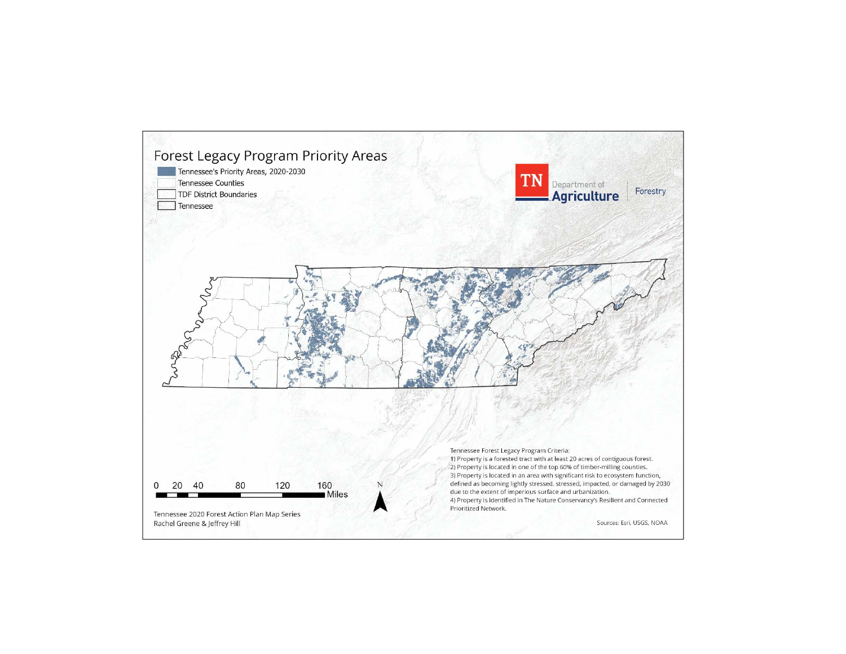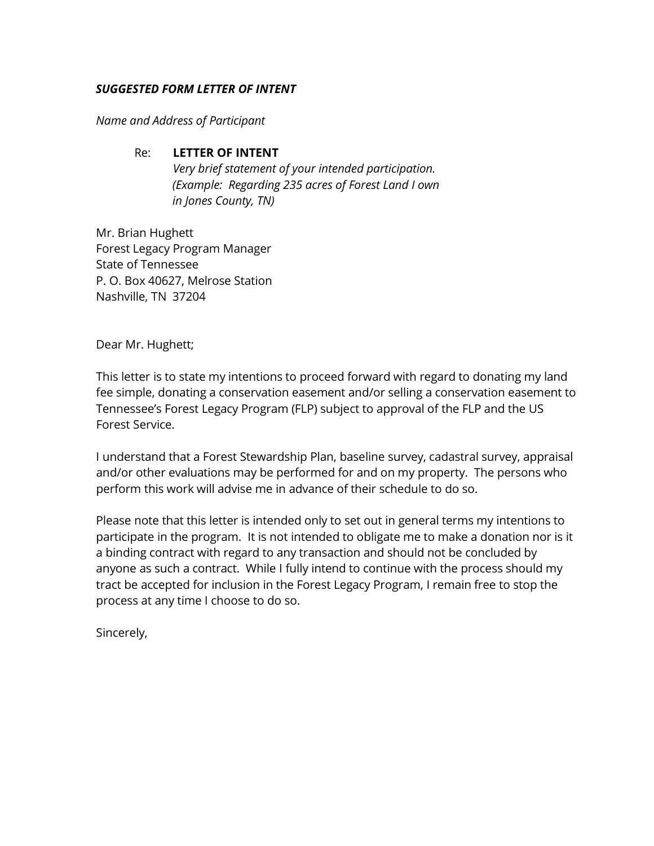## *SUGGESTED FORM LETTER OF INTENT*

*Name and Address of Participant*

## Re: **LETTER OF INTENT**

*Very brief statement of your intended participation. (Example: Regarding 235 acres of Forest Land I own in Jones County, TN)*

Mr. Brian Hughett Forest Legacy Program Manager State of Tennessee P. O. Box 40627, Melrose Station Nashville, TN 37204

Dear Mr. Hughett;

This letter is to state my intentions to proceed forward with regard to donating my land fee simple, donating a conservation easement and/or selling a conservation easement to Tennessee's Forest Legacy Program (FLP) subject to approval of the FLP and the US Forest Service.

I understand that a Forest Stewardship Plan, baseline survey, cadastral survey, appraisal and/or other evaluations may be performed for and on my property. The persons who perform this work will advise me in advance of their schedule to do so.

Please note that this letter is intended only to set out in general terms my intentions to participate in the program. It is not intended to obligate me to make a donation nor is it a binding contract with regard to any transaction and should not be concluded by anyone as such a contract. While I fully intend to continue with the process should my tract be accepted for inclusion in the Forest Legacy Program, I remain free to stop the process at any time I choose to do so.

Sincerely,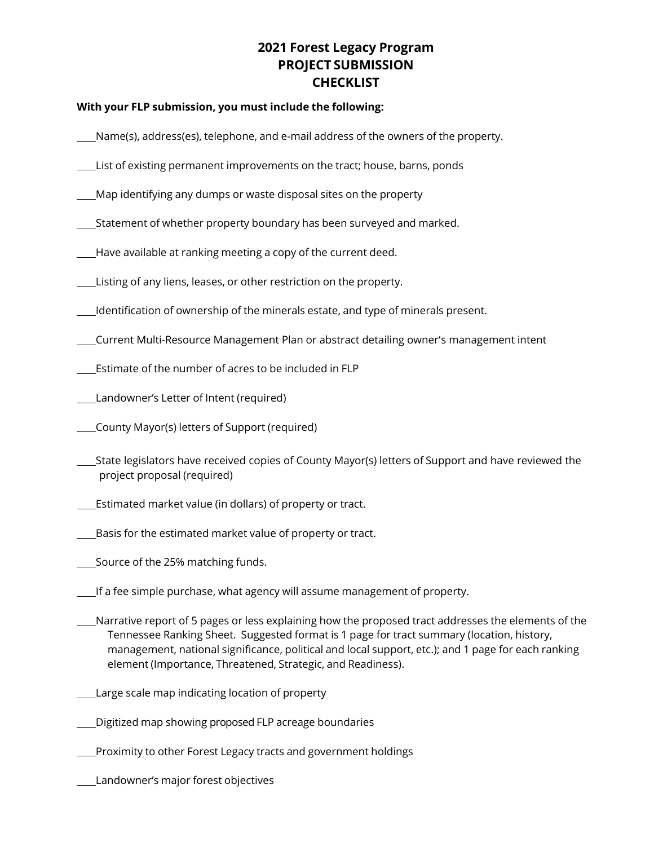# **2021 Forest Legacy Program PROJECT SUBMISSION CHECKLIST**

### **With your FLP submission, you must include the following:**

- Name(s), address(es), telephone, and e-mail address of the owners of the property.
- List of existing permanent improvements on the tract; house, barns, ponds
- Map identifying any dumps or waste disposal sites on the property
- Statement of whether property boundary has been surveyed and marked.
- Have available at ranking meeting a copy of the current deed.
- Listing of any liens, leases, or other restriction on the property.
- Identification of ownership of the minerals estate, and type of minerals present.
- Current Multi-Resource Management Plan or abstract detailing owner's management intent
- Estimate of the number of acres to be included in FLP
- Landowner's Letter of Intent (required)
- County Mayor(s) letters of Support (required)
- State legislators have received copies of County Mayor(s) letters of Support and have reviewed the project proposal (required)
- Estimated market value (in dollars) of property or tract.
- Basis for the estimated market value of property or tract.
- Source of the 25% matching funds.
- If a fee simple purchase, what agency will assume management of property.
- Narrative report of 5 pages or less explaining how the proposed tract addresses the elements of the Tennessee Ranking Sheet. Suggested format is 1 page for tract summary (location, history, management, national significance, political and local support, etc.); and 1 page for each ranking element (Importance, Threatened, Strategic, and Readiness).
- Large scale map indicating location of property
- Digitized map showing proposed FLP acreage boundaries
- **Proximity to other Forest Legacy tracts and government holdings**
- Landowner's major forest objectives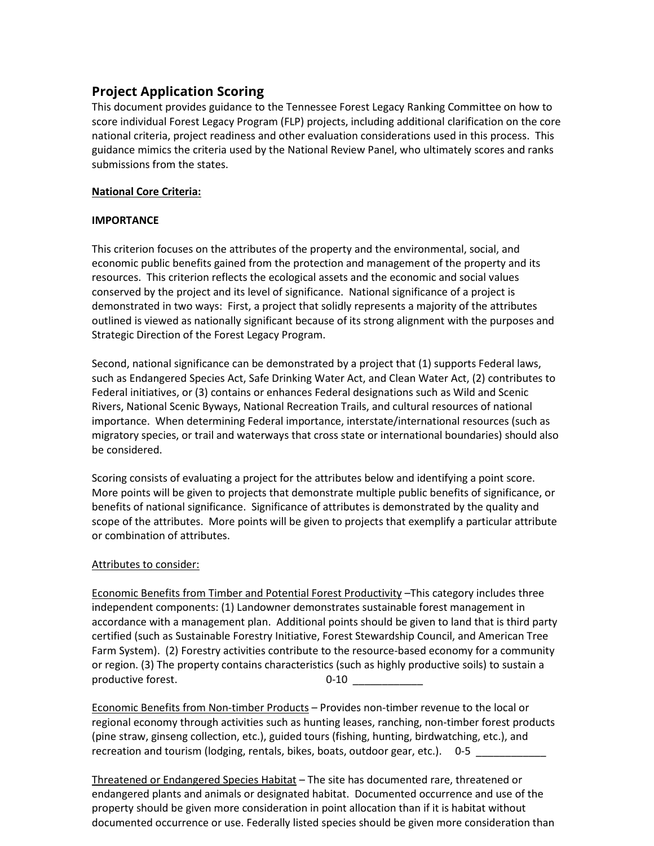## **Project Application Scoring**

This document provides guidance to the Tennessee Forest Legacy Ranking Committee on how to score individual Forest Legacy Program (FLP) projects, including additional clarification on the core national criteria, project readiness and other evaluation considerations used in this process. This guidance mimics the criteria used by the National Review Panel, who ultimately scores and ranks submissions from the states.

## **National Core Criteria:**

## **IMPORTANCE**

This criterion focuses on the attributes of the property and the environmental, social, and economic public benefits gained from the protection and management of the property and its resources. This criterion reflects the ecological assets and the economic and social values conserved by the project and its level of significance. National significance of a project is demonstrated in two ways: First, a project that solidly represents a majority of the attributes outlined is viewed as nationally significant because of its strong alignment with the purposes and Strategic Direction of the Forest Legacy Program.

Second, national significance can be demonstrated by a project that (1) supports Federal laws, such as Endangered Species Act, Safe Drinking Water Act, and Clean Water Act, (2) contributes to Federal initiatives, or (3) contains or enhances Federal designations such as Wild and Scenic Rivers, National Scenic Byways, National Recreation Trails, and cultural resources of national importance. When determining Federal importance, interstate/international resources (such as migratory species, or trail and waterways that cross state or international boundaries) should also be considered.

Scoring consists of evaluating a project for the attributes below and identifying a point score. More points will be given to projects that demonstrate multiple public benefits of significance, or benefits of national significance. Significance of attributes is demonstrated by the quality and scope of the attributes. More points will be given to projects that exemplify a particular attribute or combination of attributes.

## Attributes to consider:

Economic Benefits from Timber and Potential Forest Productivity –This category includes three independent components: (1) Landowner demonstrates sustainable forest management in accordance with a management plan. Additional points should be given to land that is third party certified (such as Sustainable Forestry Initiative, Forest Stewardship Council, and American Tree Farm System). (2) Forestry activities contribute to the resource-based economy for a community or region. (3) The property contains characteristics (such as highly productive soils) to sustain a productive forest. 0-10 \_\_\_\_\_\_\_\_\_\_\_\_

Economic Benefits from Non-timber Products – Provides non-timber revenue to the local or regional economy through activities such as hunting leases, ranching, non-timber forest products (pine straw, ginseng collection, etc.), guided tours (fishing, hunting, birdwatching, etc.), and recreation and tourism (lodging, rentals, bikes, boats, outdoor gear, etc.). 0-5

Threatened or Endangered Species Habitat – The site has documented rare, threatened or endangered plants and animals or designated habitat. Documented occurrence and use of the property should be given more consideration in point allocation than if it is habitat without documented occurrence or use. Federally listed species should be given more consideration than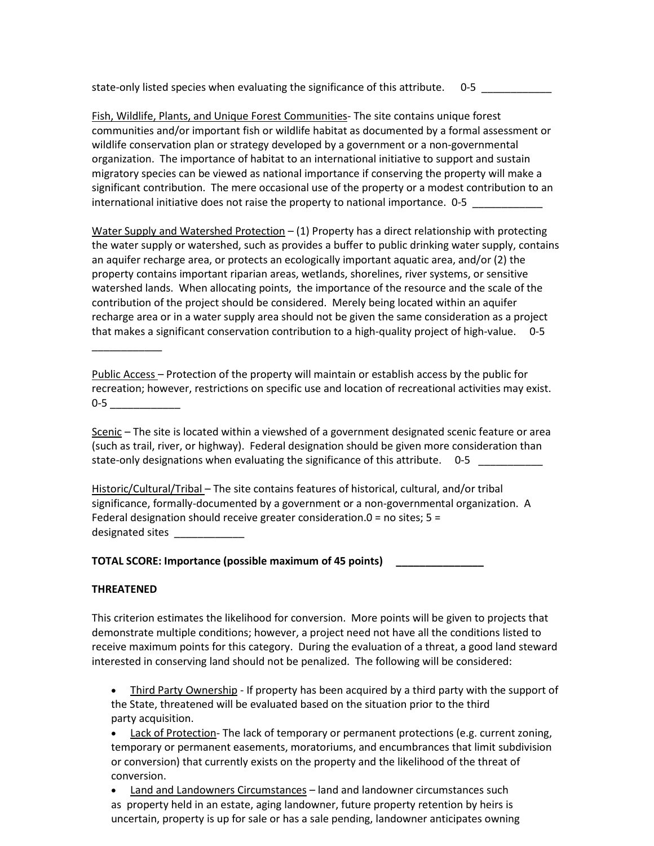state-only listed species when evaluating the significance of this attribute. 0-5

Fish, Wildlife, Plants, and Unique Forest Communities- The site contains unique forest communities and/or important fish or wildlife habitat as documented by a formal assessment or wildlife conservation plan or strategy developed by a government or a non-governmental organization. The importance of habitat to an international initiative to support and sustain migratory species can be viewed as national importance if conserving the property will make a significant contribution. The mere occasional use of the property or a modest contribution to an international initiative does not raise the property to national importance. 0-5

Water Supply and Watershed Protection – (1) Property has a direct relationship with protecting the water supply or watershed, such as provides a buffer to public drinking water supply, contains an aquifer recharge area, or protects an ecologically important aquatic area, and/or (2) the property contains important riparian areas, wetlands, shorelines, river systems, or sensitive watershed lands. When allocating points, the importance of the resource and the scale of the contribution of the project should be considered. Merely being located within an aquifer recharge area or in a water supply area should not be given the same consideration as a project that makes a significant conservation contribution to a high-quality project of high-value. 0-5

Public Access – Protection of the property will maintain or establish access by the public for recreation; however, restrictions on specific use and location of recreational activities may exist. 0-5 \_\_\_\_\_\_\_\_\_\_\_\_

Scenic - The site is located within a viewshed of a government designated scenic feature or area (such as trail, river, or highway). Federal designation should be given more consideration than state-only designations when evaluating the significance of this attribute. 0-5

Historic/Cultural/Tribal – The site contains features of historical, cultural, and/or tribal significance, formally-documented by a government or a non-governmental organization. A Federal designation should receive greater consideration.0 = no sites; 5 = designated sites

**TOTAL SCORE: Importance (possible maximum of 45 points) \_\_\_\_\_\_\_\_\_\_\_\_\_\_\_**

#### **THREATENED**

\_\_\_\_\_\_\_\_\_\_\_\_

This criterion estimates the likelihood for conversion. More points will be given to projects that demonstrate multiple conditions; however, a project need not have all the conditions listed to receive maximum points for this category. During the evaluation of a threat, a good land steward interested in conserving land should not be penalized. The following will be considered:

• Third Party Ownership - If property has been acquired by a third party with the support of the State, threatened will be evaluated based on the situation prior to the third party acquisition.

• Lack of Protection-The lack of temporary or permanent protections (e.g. current zoning, temporary or permanent easements, moratoriums, and encumbrances that limit subdivision or conversion) that currently exists on the property and the likelihood of the threat of conversion.

• Land and Landowners Circumstances – land and landowner circumstances such as property held in an estate, aging landowner, future property retention by heirs is uncertain, property is up for sale or has a sale pending, landowner anticipates owning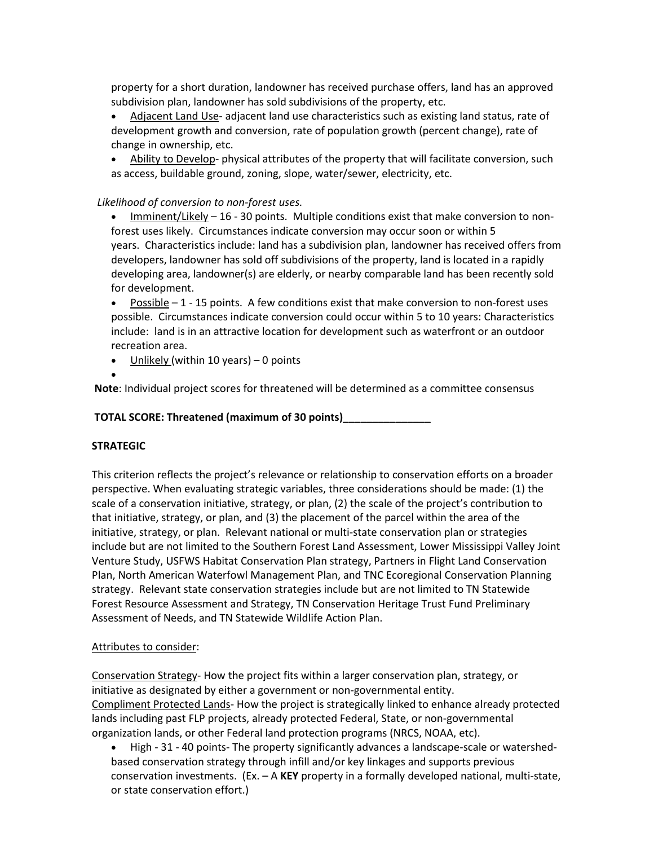property for a short duration, landowner has received purchase offers, land has an approved subdivision plan, landowner has sold subdivisions of the property, etc.

- Adjacent Land Use- adjacent land use characteristics such as existing land status, rate of development growth and conversion, rate of population growth (percent change), rate of change in ownership, etc.
- Ability to Develop- physical attributes of the property that will facilitate conversion, such as access, buildable ground, zoning, slope, water/sewer, electricity, etc.

### *Likelihood of conversion to non-forest uses.*

- Imminent/Likely 16 30 points. Multiple conditions exist that make conversion to nonforest uses likely. Circumstances indicate conversion may occur soon or within 5 years. Characteristics include: land has a subdivision plan, landowner has received offers from developers, landowner has sold off subdivisions of the property, land is located in a rapidly developing area, landowner(s) are elderly, or nearby comparable land has been recently sold for development.
- Possible 1 15 points. A few conditions exist that make conversion to non-forest uses possible. Circumstances indicate conversion could occur within 5 to 10 years: Characteristics include: land is in an attractive location for development such as waterfront or an outdoor recreation area.
- Unlikely (within 10 years)  $-$  0 points
- •

**Note**: Individual project scores for threatened will be determined as a committee consensus

**TOTAL SCORE: Threatened (maximum of 30 points)\_\_\_\_\_\_\_\_\_\_\_\_\_\_\_**

### **STRATEGIC**

This criterion reflects the project's relevance or relationship to conservation efforts on a broader perspective. When evaluating strategic variables, three considerations should be made: (1) the scale of a conservation initiative, strategy, or plan, (2) the scale of the project's contribution to that initiative, strategy, or plan, and (3) the placement of the parcel within the area of the initiative, strategy, or plan. Relevant national or multi-state conservation plan or strategies include but are not limited to the Southern Forest Land Assessment, Lower Mississippi Valley Joint Venture Study, USFWS Habitat Conservation Plan strategy, Partners in Flight Land Conservation Plan, North American Waterfowl Management Plan, and TNC Ecoregional Conservation Planning strategy. Relevant state conservation strategies include but are not limited to TN Statewide Forest Resource Assessment and Strategy, TN Conservation Heritage Trust Fund Preliminary Assessment of Needs, and TN Statewide Wildlife Action Plan.

### Attributes to consider:

Conservation Strategy- How the project fits within a larger conservation plan, strategy, or initiative as designated by either a government or non-governmental entity. Compliment Protected Lands- How the project is strategically linked to enhance already protected lands including past FLP projects, already protected Federal, State, or non-governmental organization lands, or other Federal land protection programs (NRCS, NOAA, etc).

• High - 31 - 40 points- The property significantly advances a landscape-scale or watershedbased conservation strategy through infill and/or key linkages and supports previous conservation investments. (Ex. – A **KEY** property in a formally developed national, multi-state, or state conservation effort.)